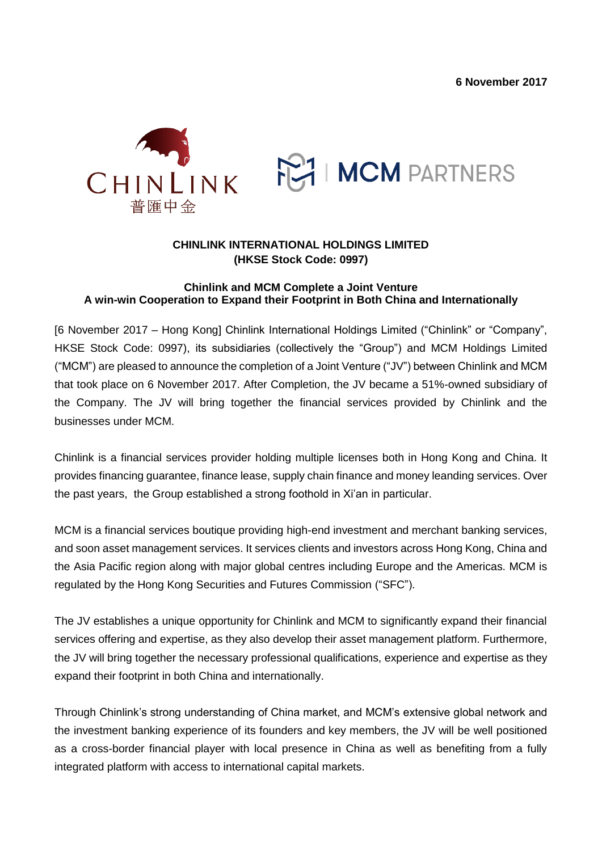



## **CHINLINK INTERNATIONAL HOLDINGS LIMITED (HKSE Stock Code: 0997)**

## **Chinlink and MCM Complete a Joint Venture A win-win Cooperation to Expand their Footprint in Both China and Internationally**

[6 November 2017 – Hong Kong] Chinlink International Holdings Limited ("Chinlink" or "Company", HKSE Stock Code: 0997), its subsidiaries (collectively the "Group") and MCM Holdings Limited ("MCM") are pleased to announce the completion of a Joint Venture ("JV") between Chinlink and MCM that took place on 6 November 2017. After Completion, the JV became a 51%-owned subsidiary of the Company. The JV will bring together the financial services provided by Chinlink and the businesses under MCM.

Chinlink is a financial services provider holding multiple licenses both in Hong Kong and China. It provides financing guarantee, finance lease, supply chain finance and money leanding services. Over the past years, the Group established a strong foothold in Xi'an in particular.

MCM is a financial services boutique providing high-end investment and merchant banking services, and soon asset management services. It services clients and investors across Hong Kong, China and the Asia Pacific region along with major global centres including Europe and the Americas. MCM is regulated by the Hong Kong Securities and Futures Commission ("SFC").

The JV establishes a unique opportunity for Chinlink and MCM to significantly expand their financial services offering and expertise, as they also develop their asset management platform. Furthermore, the JV will bring together the necessary professional qualifications, experience and expertise as they expand their footprint in both China and internationally.

Through Chinlink's strong understanding of China market, and MCM's extensive global network and the investment banking experience of its founders and key members, the JV will be well positioned as a cross-border financial player with local presence in China as well as benefiting from a fully integrated platform with access to international capital markets.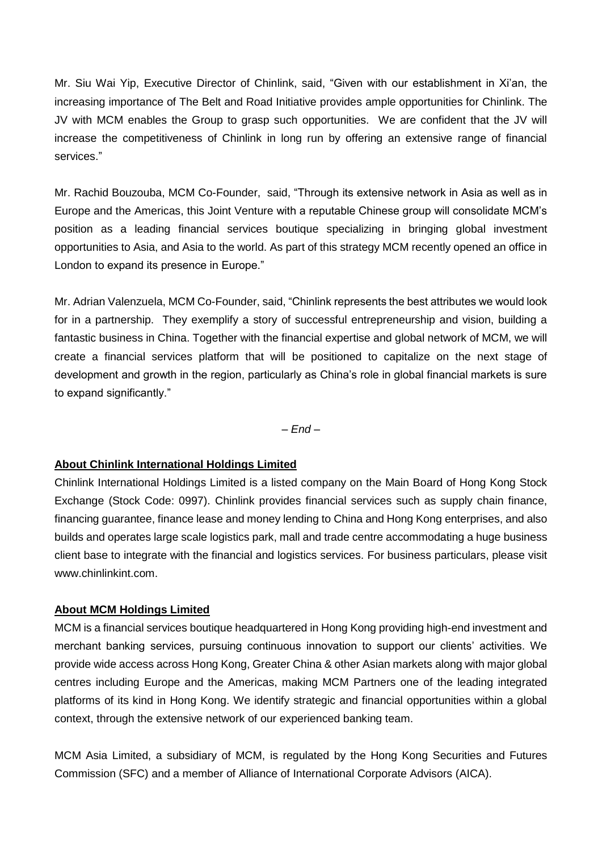Mr. Siu Wai Yip, Executive Director of Chinlink, said, "Given with our establishment in Xi'an, the increasing importance of The Belt and Road Initiative provides ample opportunities for Chinlink. The JV with MCM enables the Group to grasp such opportunities. We are confident that the JV will increase the competitiveness of Chinlink in long run by offering an extensive range of financial services."

Mr. Rachid Bouzouba, MCM Co-Founder, said, "Through its extensive network in Asia as well as in Europe and the Americas, this Joint Venture with a reputable Chinese group will consolidate MCM's position as a leading financial services boutique specializing in bringing global investment opportunities to Asia, and Asia to the world. As part of this strategy MCM recently opened an office in London to expand its presence in Europe."

Mr. Adrian Valenzuela, MCM Co-Founder, said, "Chinlink represents the best attributes we would look for in a partnership. They exemplify a story of successful entrepreneurship and vision, building a fantastic business in China. Together with the financial expertise and global network of MCM, we will create a financial services platform that will be positioned to capitalize on the next stage of development and growth in the region, particularly as China's role in global financial markets is sure to expand significantly."

*– End –*

## **About Chinlink International Holdings Limited**

Chinlink International Holdings Limited is a listed company on the Main Board of Hong Kong Stock Exchange (Stock Code: 0997). Chinlink provides financial services such as supply chain finance, financing guarantee, finance lease and money lending to China and Hong Kong enterprises, and also builds and operates large scale logistics park, mall and trade centre accommodating a huge business client base to integrate with the financial and logistics services. For business particulars, please visit [www.chinlinkint.com.](http://www.chinlinkint.com/)

## **About MCM Holdings Limited**

MCM is a financial services boutique headquartered in Hong Kong providing high-end investment and merchant banking services, pursuing continuous innovation to support our clients' activities. We provide wide access across Hong Kong, Greater China & other Asian markets along with major global centres including Europe and the Americas, making MCM Partners one of the leading integrated platforms of its kind in Hong Kong. We identify strategic and financial opportunities within a global context, through the extensive network of our experienced banking team.

MCM Asia Limited, a subsidiary of MCM, is regulated by the Hong Kong Securities and Futures Commission (SFC) and a member of Alliance of International Corporate Advisors (AICA).